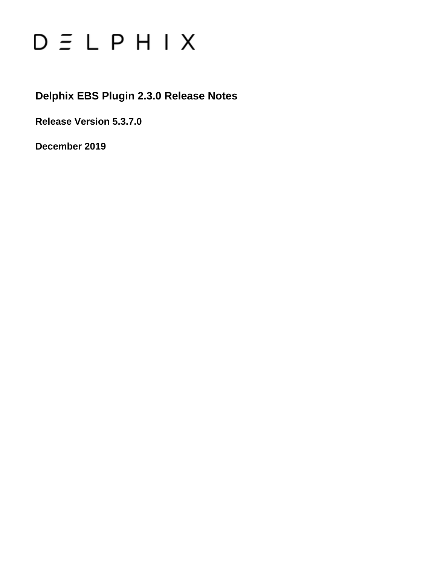# $D \subseteq L$   $P$   $H$   $I$   $X$

# **Delphix EBS Plugin 2.3.0 Release Notes**

**Release Version 5.3.7.0**

**December 2019**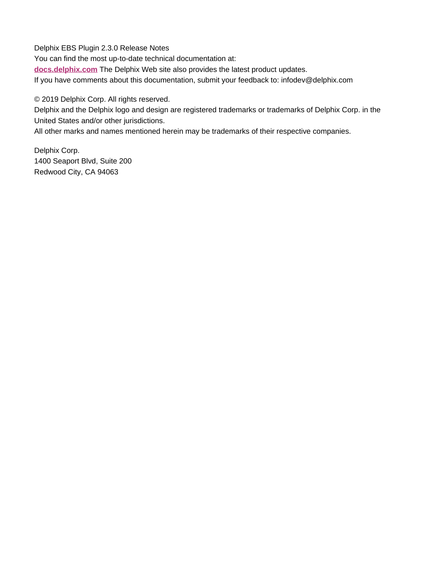Delphix EBS Plugin 2.3.0 Release Notes You can find the most up-to-date technical documentation at: **[docs.delphix.com](http://docs.delphix.com)** The Delphix Web site also provides the latest product updates. If you have comments about this documentation, submit your feedback to: infodev@delphix.com

© 2019 Delphix Corp. All rights reserved.

Delphix and the Delphix logo and design are registered trademarks or trademarks of Delphix Corp. in the United States and/or other jurisdictions.

All other marks and names mentioned herein may be trademarks of their respective companies.

Delphix Corp. 1400 Seaport Blvd, Suite 200 Redwood City, CA 94063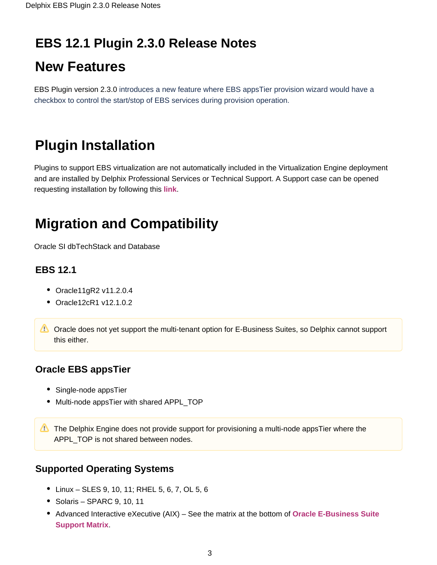# **EBS 12.1 Plugin 2.3.0 Release Notes**

# **New Features**

EBS Plugin version 2.3.0 introduces a new feature where EBS appsTier provision wizard would have a checkbox to control the start/stop of EBS services during provision operation.

# **Plugin Installation**

Plugins to support EBS virtualization are not automatically included in the Virtualization Engine deployment and are installed by Delphix Professional Services or Technical Support. A Support case can be opened requesting installation by following this **[link](http://support-tickets.delphix.com/)**.

# **Migration and Compatibility**

Oracle SI dbTechStack and Database

## **EBS 12.1**

- Oracle11gR2 v11.2.0.4
- Oracle12cR1 v12.1.0.2
- **Coracle does not yet support the multi-tenant option for E-Business Suites, so Delphix cannot support** this either.

## **Oracle EBS appsTier**

- Single-node appsTier
- Multi-node appsTier with shared APPL\_TOP
- The Delphix Engine does not provide support for provisioning a multi-node appsTier where the APPL\_TOP is not shared between nodes.

## **Supported Operating Systems**

- Linux SLES 9, 10, 11; RHEL 5, 6, 7, OL 5, 6
- Solaris SPARC 9, 10, 11
- Advanced Interactive eXecutive (AIX) See the matrix at the bottom of **[Oracle E-Business Suite](https://docs.delphix.com/display/DOCSDEV/.EBS+Matrix+vKryptonMaint)  [Support Matrix](https://docs.delphix.com/display/DOCSDEV/.EBS+Matrix+vKryptonMaint)**.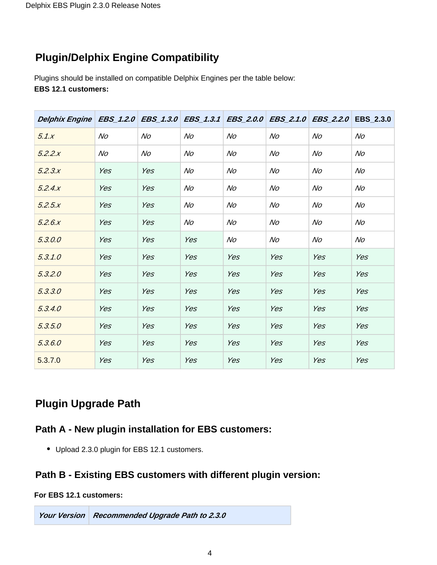# **Plugin/Delphix Engine Compatibility**

Plugins should be installed on compatible Delphix Engines per the table below: **EBS 12.1 customers:**

| Delphix Engine   EBS_1.2.0   EBS_1.3.0   EBS_1.3.1   EBS_2.0.0   EBS_2.1.0   EBS_2.2.0   EBS_2.3.0 |     |     |     |     |                |                |     |
|----------------------------------------------------------------------------------------------------|-----|-----|-----|-----|----------------|----------------|-----|
| 5.1x                                                                                               | No  | No  | No  | No  | N <sub>O</sub> | No             | No  |
| 5.2.2.x                                                                                            | No  | No  | No  | No  | No             | No             | No  |
| 5.2.3.x                                                                                            | Yes | Yes | No  | No  | No             | No             | No  |
| 5.2.4.x                                                                                            | Yes | Yes | No  | No  | No             | No             | No  |
| 5.2.5x                                                                                             | Yes | Yes | No  | No  | No             | No             | No  |
| 5.2.6x                                                                                             | Yes | Yes | No  | No  | No             | N <sub>O</sub> | No  |
| 5.3.0.0                                                                                            | Yes | Yes | Yes | No  | No             | No             | No  |
| 5.3.1.0                                                                                            | Yes | Yes | Yes | Yes | Yes            | Yes            | Yes |
| 5.3.2.0                                                                                            | Yes | Yes | Yes | Yes | Yes            | Yes            | Yes |
| 5.3.3.0                                                                                            | Yes | Yes | Yes | Yes | Yes            | Yes            | Yes |
| 5.3.4.0                                                                                            | Yes | Yes | Yes | Yes | Yes            | Yes            | Yes |
| 5.3.5.0                                                                                            | Yes | Yes | Yes | Yes | Yes            | Yes            | Yes |
| 5.3.6.0                                                                                            | Yes | Yes | Yes | Yes | Yes            | Yes            | Yes |
| 5.3.7.0                                                                                            | Yes | Yes | Yes | Yes | Yes            | Yes            | Yes |

## **Plugin Upgrade Path**

## **Path A - New plugin installation for EBS customers:**

Upload 2.3.0 plugin for EBS 12.1 customers.

## **Path B - Existing EBS customers with different plugin version:**

#### **For EBS 12.1 customers:**

**Your Version Recommended Upgrade Path to 2.3.0**